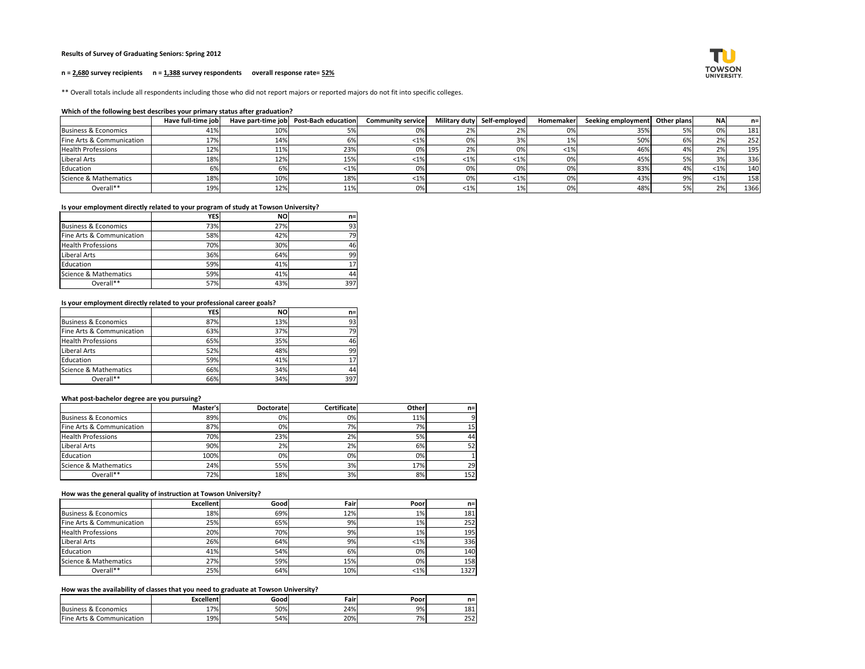# **Results of Survey of Graduating Seniors: Spring 2012**

#### **n = 2,680 survey recipients n = 1,388 survey respondents overall response rate= 52%**

\*\* Overall totals include all respondents including those who did not report majors or reported majors do not fit into specific colleges.

#### **Which of the following best describes your primary status after graduation?**

|                           | Have full-time job |     | Have part-time job   Post-Bach education | <b>Community service</b> |                       | Military duty Self-employed | <b>Homemaker</b> | Seeking employment Other plans |     | <b>NA</b> | $n=1$ |
|---------------------------|--------------------|-----|------------------------------------------|--------------------------|-----------------------|-----------------------------|------------------|--------------------------------|-----|-----------|-------|
| Business & Economics      | 41%                | 10% |                                          | 0%                       | 2%I                   |                             | 0%               | 35%                            |     | 0%        | 181   |
| Fine Arts & Communication | 17%                | 14% |                                          | $< 1\%$                  | 0%I                   |                             | 1%               | 50%                            |     | 2%        | 252   |
| <b>Health Professions</b> | 12%                | 11% | 23%                                      | 0%                       | 2%                    | 0%                          | $< 1\%$          | 46%                            |     | 2%        | 195   |
| Liberal Arts              | 18%                | 12% | 15%                                      | $< 1\%$                  | $\langle 1\% \rangle$ | $\langle 1\% \rangle$       | 0%               | 45%                            |     | 3%        | 336   |
| Education                 | 6%                 |     |                                          | 0%                       | 0%                    | 0%                          | 0%               | 83%                            |     | $< 1\%$   | 140   |
| Science & Mathematics     | 18%                | 10% | 18%                                      | $<$ 1%                   | 0%                    | <1%                         | 0%               | 43%                            | no/ | $< 1\%$   | 158   |
| Overall**                 | 19%                | 12% | 11%                                      | 0%                       | $<$ 1%                |                             | 0%               | 48%                            |     | 2%        | 1366  |

# **Is your employment directly related to your program of study at Towson University?**

|                           | <b>YES</b> | <b>NO</b> | $n =$ |
|---------------------------|------------|-----------|-------|
| Business & Economics      | 73%        | 27%       | 93    |
| Fine Arts & Communication | 58%        | 42%       | 79    |
| <b>Health Professions</b> | 70%        | 30%       | 46    |
| Liberal Arts              | 36%        | 64%       | 99    |
| Education                 | 59%        | 41%       | 17    |
| Science & Mathematics     | 59%        | 41%       | 44    |
| Overall**                 | 57%        | 43%       | 397   |

# **Is your employment directly related to your professional career goals?**

|                                 | <b>YES</b> | <b>NO</b> | $n=$ |
|---------------------------------|------------|-----------|------|
| <b>Business &amp; Economics</b> | 87%        | 13%       | 93   |
| Fine Arts & Communication       | 63%        | 37%       | 79   |
| <b>Health Professions</b>       | 65%        | 35%       | 46   |
| Liberal Arts                    | 52%        | 48%       | 99   |
| Education                       | 59%        | 41%       | 17   |
| Science & Mathematics           | 66%        | 34%       | 44   |
| Overall**                       | 66%        | 34%       | 397  |

# **What post-bachelor degree are you pursuing?**

|                           | Master's   | <b>Doctorate</b> | <b>Certificate</b> | <b>Other</b> | $n=$      |
|---------------------------|------------|------------------|--------------------|--------------|-----------|
| Business & Economics      | 89%        | 0%               | 0%                 | 11%          | ۹l        |
| Fine Arts & Communication | 87%        | 0%               | 7%                 | 7%           | 15        |
| <b>Health Professions</b> | <b>70%</b> | 23%              | 2%                 | 5%           | 44        |
| Liberal Arts              | 90%        | 2%               | 2%                 | 6%           | 52I       |
| Education                 | 100%       | 0%               | 0%                 | 0%           |           |
| Science & Mathematics     | 24%        | 55%              | 3%                 | 17%          | <b>29</b> |
| Overall**                 | 72%        | 18%              | 3%                 | 8%           | 152       |

#### **How was the general quality of instruction at Towson University?**

|                           | <b>Excellent</b> | Good | Fair | Poor    | $n=$       |
|---------------------------|------------------|------|------|---------|------------|
| Business & Economics      | 18%              | 69%  | 12%  | $1\%$   | 181        |
| Fine Arts & Communication | 25%              | 65%  | 9%   | $1\%$   | 252        |
| <b>Health Professions</b> | 20%              | 70%  | 9%   | $1\%$   | <b>195</b> |
| Liberal Arts              | 26%              | 64%  | 9%   | $<$ 1%  | 336        |
| Education                 | 41%              | 54%  | 6%   | 0%      | 140        |
| Science & Mathematics     | 27%              | 59%  | 15%  | 0%      | 158        |
| Overall**                 | 25%              | 64%  | 10%  | $< 1\%$ | 1327       |

# **How was the availability of classes that you need to graduate at Towson University?**

|                                             | <b>Excellent</b> | Good | Fair. | Poor | n=         |
|---------------------------------------------|------------------|------|-------|------|------------|
| Business &<br>Economics                     | 17%<br>- 1       | 50%  | 24%   | 9%   | 181        |
| <b>IFine</b><br>، & Communication<br>∴ Ar†c | 19%              | 54%  | 20%   | 7%   | つにつ<br>252 |

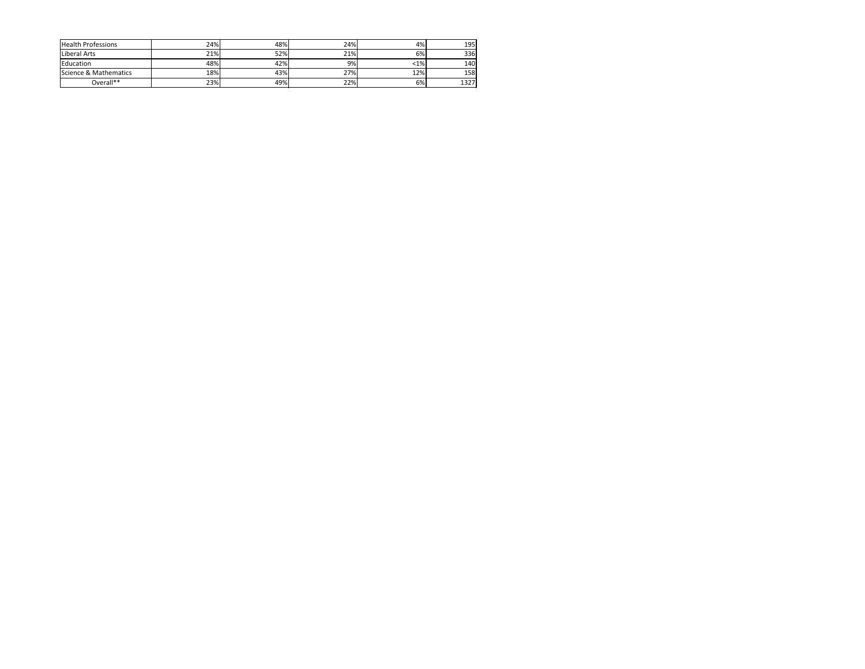| <b>Health Professions</b> | 24% | 48% | 24% | 4%     | <b>195</b> |
|---------------------------|-----|-----|-----|--------|------------|
| Liberal Arts              | 21% | 52% | 21% | 6%     | 336l       |
| Education                 | 48% | 42% | 9%  | $<$ 1% | 140        |
| Science & Mathematics     | 18% | 43% | 27% | 12%    | 158        |
| Overall**                 | 23% | 49% | 22% | 6%     | 1327       |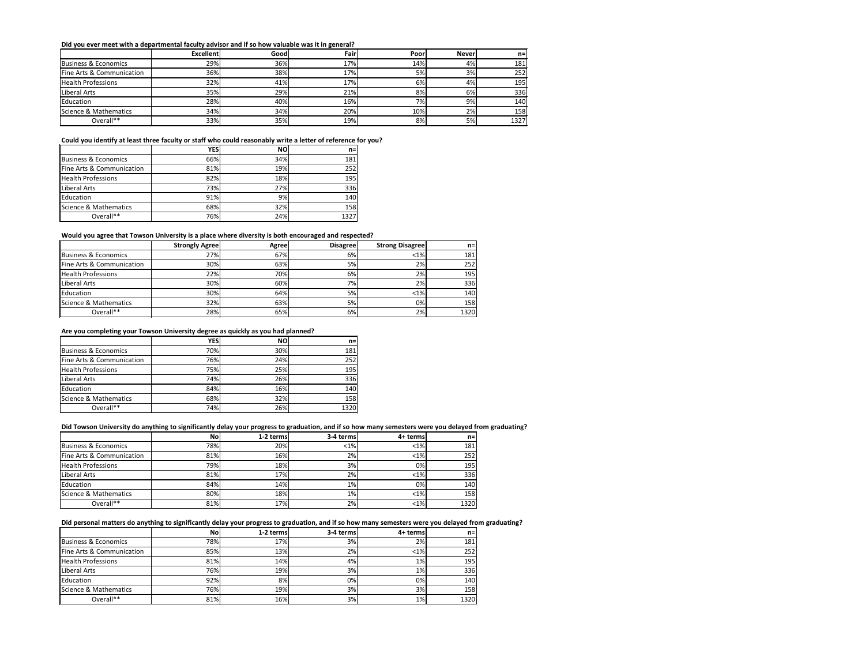#### **Did you ever meet with a departmental faculty advisor and if so how valuable was it in general?**

|                           | <b>Excellent</b> | Good | Fair | Poor | <b>Never</b> | $n =$ |
|---------------------------|------------------|------|------|------|--------------|-------|
| Business & Economics      | 29%              | 36%  | 17%  | 14%  | 4%           | 181   |
| Fine Arts & Communication | 36%              | 38%  | 17%  | 5%   | 3%           | 252   |
| <b>Health Professions</b> | 32%              | 41%  | 17%  | 6%   | 4%           | 195   |
| Liberal Arts              | 35%              | 29%  | 21%  | 8%   | 6%           | 336   |
| Education                 | 28%              | 40%  | 16%  | 7%   | 9%           | 140   |
| Science & Mathematics     | 34%              | 34%  | 20%  | 10%  | 2%           | 158   |
| Overall**                 | 33%              | 35%  | 19%  | 8%   | 5%           | 1327  |

# **Could you identify at least three faculty or staff who could reasonably write a letter of reference for you?**

|                           | <b>YES</b> | <b>NO</b> | $n =$ |
|---------------------------|------------|-----------|-------|
| Business & Economics      | 66%        | 34%       | 181   |
| Fine Arts & Communication | 81%        | 19%       | 252   |
| <b>Health Professions</b> | 82%        | 18%       | 195   |
| Liberal Arts              | 73%        | 27%       | 336   |
| Education                 | 91%        | 9%        | 140   |
| Science & Mathematics     | 68%        | 32%       | 158   |
| Overall**                 | 76%        | 24%       | 1327  |

# **Would you agree that Towson University is a place where diversity is both encouraged and respected?**

|                           | <b>Strongly Agree</b> | <b>Agree</b> | <b>Disagree</b> | <b>Strong Disagree</b> | $n=1$ |
|---------------------------|-----------------------|--------------|-----------------|------------------------|-------|
| Business & Economics      | 27%                   | 67%          | 6%              | $< 1\%$                | 181   |
| Fine Arts & Communication | 30%                   | 63%          | 5%              | 2%                     | 252   |
| <b>Health Professions</b> | 22%                   | 70%          | 6%              | 2%                     | 195   |
| Liberal Arts              | 30%                   | 60%          | 7%              | 2%                     | 336   |
| Education                 | 30%                   | 64%          | 5%              | $< 1\%$                | 140   |
| Science & Mathematics     | 32%                   | 63%          | 5%l             | 0%                     | 158   |
| Overall**                 | 28%                   | 65%          | 6%              | 2%                     | 1320  |

# **Are you completing your Towson University degree as quickly as you had planned?**

|                                 | <b>YES</b> | <b>NO</b> | $n=$ |
|---------------------------------|------------|-----------|------|
| <b>Business &amp; Economics</b> | 70%        | 30%       | 181  |
| Fine Arts & Communication       | 76%        | 24%       | 252  |
| <b>Health Professions</b>       | 75%        | 25%       | 195  |
| Liberal Arts                    | 74%        | 26%       | 336  |
| Education                       | 84%        | 16%       | 140  |
| Science & Mathematics           | 68%        | 32%       | 158  |
| Overall**                       | 74%        | 26%       | 1320 |

# **Did Towson University do anything to significantly delay your progress to graduation, and if so how many semesters were you delayed from graduating?**

|                           | <b>No</b>  | 1-2 terms | 3-4 terms | 4+ terms | n=l        |
|---------------------------|------------|-----------|-----------|----------|------------|
| Business & Economics      | 78%        | 20%       | $<$ 1%    | $< 1\%$  | 181        |
| Fine Arts & Communication | 81%        | 16%       | 2%        | $< 1\%$  | 252        |
| <b>Health Professions</b> | <b>79%</b> | 18%       | 3%        | 0%       | <b>195</b> |
| Liberal Arts              | 81%        | 17%       | 2%        | $< 1\%$  | 336        |
| Education                 | 84%        | 14%       | $1\%$     | 0%       | 140        |
| Science & Mathematics     | 80%        | 18%       | 1%        | $< 1\%$  | 158        |
| Overall**                 | 81%        | 17%       | 2%        | $< 1\%$  | 1320       |

# **Did personal matters do anything to significantly delay your progress to graduation, and if so how many semesters were you delayed from graduating?**

|                           | Nol | 1-2 terms | 3-4 terms | 4+ terms | $n=1$      |
|---------------------------|-----|-----------|-----------|----------|------------|
| Business & Economics      | 78% | 17%       | 3%        | 2%       | <b>181</b> |
| Fine Arts & Communication | 85% | 13%       | 2%        | $<$ 1%   | 252        |
| <b>Health Professions</b> | 81% | 14%       | 4%.       | $1\%$    | <b>195</b> |
| Liberal Arts              | 76% | 19%       | 3%        | $1\%$    | 336        |
| Education                 | 92% | 8%        | 0%        | 0%       | 140        |
| Science & Mathematics     | 76% | 19%       | 3%        | 3%       | 158        |
| Overall**                 | 81% | 16%       | 3%        | $1\%$    | 1320       |